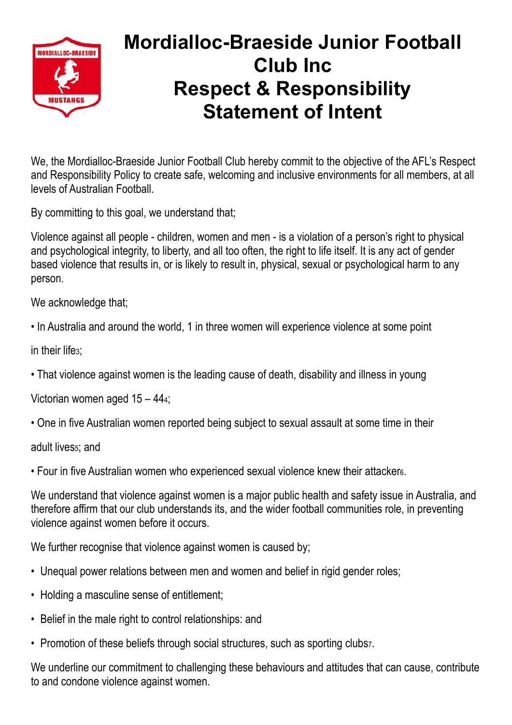

## **Mordialloc-Braeside Junior Football Club Inc Respect & Responsibility Statement of Intent**

We, the Mordialloc-Braeside Junior Football Club hereby commit to the objective of the AFL's Respect and Responsibility Policy to create safe, welcoming and inclusive environments for all members, at all levels of Australian Football.

By committing to this goal, we understand that;

Violence against all people - children, women and men - is a violation of a person's right to physical and psychological integrity, to liberty, and all too often, the right to life itself. It is any act of gender based violence that results in, or is likely to result in, physical, sexual or psychological harm to any person.

We acknowledge that;

• In Australia and around the world, 1 in three women will experience violence at some point

in their life3;

• That violence against women is the leading cause of death, disability and illness in young

Victorian women aged 15 – 444;

• One in five Australian women reported being subject to sexual assault at some time in their

adult lives<sub>5</sub>; and

• Four in five Australian women who experienced sexual violence knew their attacker6.

We understand that violence against women is a major public health and safety issue in Australia, and therefore affirm that our club understands its, and the wider football communities role, in preventing violence against women before it occurs.

We further recognise that violence against women is caused by;

- Unequal power relations between men and women and belief in rigid gender roles;
- Holding a masculine sense of entitlement;
- Belief in the male right to control relationships: and
- Promotion of these beliefs through social structures, such as sporting clubs<sub>7</sub>.

We underline our commitment to challenging these behaviours and attitudes that can cause, contribute to and condone violence against women.